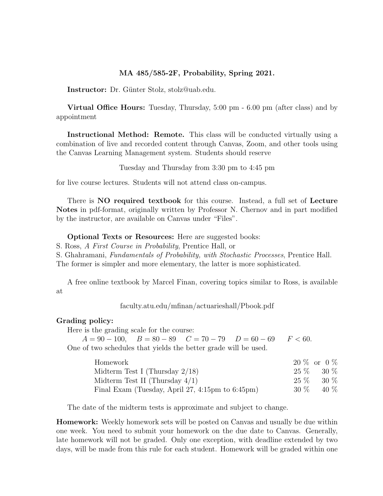## MA 485/585-2F, Probability, Spring 2021.

Instructor: Dr. Günter Stolz, stolz@uab.edu.

Virtual Office Hours: Tuesday, Thursday, 5:00 pm - 6.00 pm (after class) and by appointment

Instructional Method: Remote. This class will be conducted virtually using a combination of live and recorded content through Canvas, Zoom, and other tools using the Canvas Learning Management system. Students should reserve

Tuesday and Thursday from 3:30 pm to 4:45 pm

for live course lectures. Students will not attend class on-campus.

There is NO required textbook for this course. Instead, a full set of Lecture Notes in pdf-format, originally written by Professor N. Chernov and in part modified by the instructor, are available on Canvas under "Files".

Optional Texts or Resources: Here are suggested books:

S. Ross, A First Course in Probability, Prentice Hall, or

S. Ghahramani, Fundamentals of Probability, with Stochastic Processes, Prentice Hall. The former is simpler and more elementary, the latter is more sophisticated.

A free online textbook by Marcel Finan, covering topics similar to Ross, is available at

faculty.atu.edu/mfinan/actuarieshall/Pbook.pdf

### Grading policy:

Here is the grading scale for the course:

 $A = 90 - 100$ ,  $B = 80 - 89$   $C = 70 - 79$   $D = 60 - 69$   $F < 60$ . One of two schedules that yields the better grade will be used.

| Homework                                         |        | $20\%$ or $0\%$ |
|--------------------------------------------------|--------|-----------------|
| Midterm Test I (Thursday $2/18$ )                |        | $25\%$ 30 $\%$  |
| Midterm Test II (Thursday $4/1$ )                |        | $25\%$ 30 $\%$  |
| Final Exam (Tuesday, April 27, 4:15pm to 6:45pm) | $30\%$ | 40 %            |

The date of the midterm tests is approximate and subject to change.

Homework: Weekly homework sets will be posted on Canvas and usually be due within one week. You need to submit your homework on the due date to Canvas. Generally, late homework will not be graded. Only one exception, with deadline extended by two days, will be made from this rule for each student. Homework will be graded within one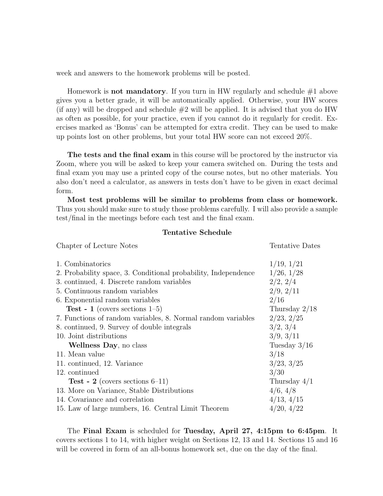week and answers to the homework problems will be posted.

Homework is **not mandatory**. If you turn in HW regularly and schedule  $\#1$  above gives you a better grade, it will be automatically applied. Otherwise, your HW scores (if any) will be dropped and schedule  $#2$  will be applied. It is advised that you do HW as often as possible, for your practice, even if you cannot do it regularly for credit. Exercises marked as 'Bonus' can be attempted for extra credit. They can be used to make up points lost on other problems, but your total HW score can not exceed 20%.

The tests and the final exam in this course will be proctored by the instructor via Zoom, where you will be asked to keep your camera switched on. During the tests and final exam you may use a printed copy of the course notes, but no other materials. You also don't need a calculator, as answers in tests don't have to be given in exact decimal form.

Most test problems will be similar to problems from class or homework. Thus you should make sure to study those problems carefully. I will also provide a sample test/final in the meetings before each test and the final exam.

#### Tentative Schedule

| Chapter of Lecture Notes                                       | Tentative Dates |  |
|----------------------------------------------------------------|-----------------|--|
|                                                                |                 |  |
| 1. Combinatorics                                               | 1/19, 1/21      |  |
| 2. Probability space, 3. Conditional probability, Independence | 1/26, 1/28      |  |
| 3. continued, 4. Discrete random variables                     | 2/2, 2/4        |  |
| 5. Continuous random variables                                 | 2/9, 2/11       |  |
| 6. Exponential random variables                                | 2/16            |  |
| <b>Test</b> - 1 (covers sections $1-5$ )                       | Thursday $2/18$ |  |
| 7. Functions of random variables, 8. Normal random variables   | 2/23, 2/25      |  |
| 8. continued, 9. Survey of double integrals                    | 3/2, 3/4        |  |
| 10. Joint distributions                                        | 3/9, 3/11       |  |
| Wellness Day, no class                                         | Tuesday $3/16$  |  |
| 11. Mean value                                                 | 3/18            |  |
| 11. continued, 12. Variance                                    | 3/23, 3/25      |  |
| 12. continued                                                  | 3/30            |  |
| <b>Test</b> - 2 (covers sections $6-11$ )                      | Thursday $4/1$  |  |
| 13. More on Variance, Stable Distributions                     | 4/6, 4/8        |  |
| 14. Covariance and correlation                                 | 4/13, 4/15      |  |
| 15. Law of large numbers, 16. Central Limit Theorem            | 4/20, 4/22      |  |

The Final Exam is scheduled for Tuesday, April 27, 4:15pm to 6:45pm. It covers sections 1 to 14, with higher weight on Sections 12, 13 and 14. Sections 15 and 16 will be covered in form of an all-bonus homework set, due on the day of the final.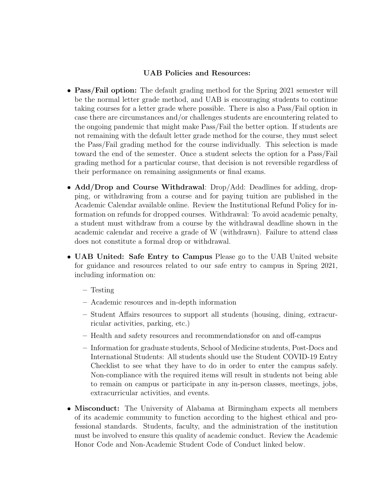# UAB Policies and Resources:

- **Pass/Fail option:** The default grading method for the Spring 2021 semester will be the normal letter grade method, and UAB is encouraging students to continue taking courses for a letter grade where possible. There is also a Pass/Fail option in case there are circumstances and/or challenges students are encountering related to the ongoing pandemic that might make Pass/Fail the better option. If students are not remaining with the default letter grade method for the course, they must select the Pass/Fail grading method for the course individually. This selection is made toward the end of the semester. Once a student selects the option for a Pass/Fail grading method for a particular course, that decision is not reversible regardless of their performance on remaining assignments or final exams.
- Add/Drop and Course Withdrawal: Drop/Add: Deadlines for adding, dropping, or withdrawing from a course and for paying tuition are published in the Academic Calendar available online. Review the Institutional Refund Policy for information on refunds for dropped courses. Withdrawal: To avoid academic penalty, a student must withdraw from a course by the withdrawal deadline shown in the academic calendar and receive a grade of W (withdrawn). Failure to attend class does not constitute a formal drop or withdrawal.
- UAB United: Safe Entry to Campus Please go to the UAB United website for guidance and resources related to our safe entry to campus in Spring 2021, including information on:
	- Testing
	- Academic resources and in-depth information
	- Student Affairs resources to support all students (housing, dining, extracurricular activities, parking, etc.)
	- Health and safety resources and recommendationsfor on and off-campus
	- Information for graduate students, School of Medicine students, Post-Docs and International Students: All students should use the Student COVID-19 Entry Checklist to see what they have to do in order to enter the campus safely. Non-compliance with the required items will result in students not being able to remain on campus or participate in any in-person classes, meetings, jobs, extracurricular activities, and events.
- Misconduct: The University of Alabama at Birmingham expects all members of its academic community to function according to the highest ethical and professional standards. Students, faculty, and the administration of the institution must be involved to ensure this quality of academic conduct. Review the Academic Honor Code and Non-Academic Student Code of Conduct linked below.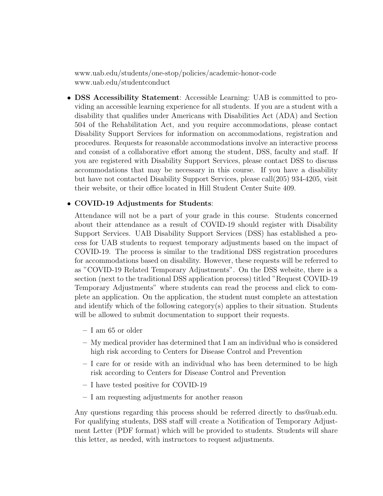www.uab.edu/students/one-stop/policies/academic-honor-code www.uab.edu/studentconduct

• DSS Accessibility Statement: Accessible Learning: UAB is committed to providing an accessible learning experience for all students. If you are a student with a disability that qualifies under Americans with Disabilities Act (ADA) and Section 504 of the Rehabilitation Act, and you require accommodations, please contact Disability Support Services for information on accommodations, registration and procedures. Requests for reasonable accommodations involve an interactive process and consist of a collaborative effort among the student, DSS, faculty and staff. If you are registered with Disability Support Services, please contact DSS to discuss accommodations that may be necessary in this course. If you have a disability but have not contacted Disability Support Services, please call(205) 934-4205, visit their website, or their office located in Hill Student Center Suite 409.

## • COVID-19 Adjustments for Students:

Attendance will not be a part of your grade in this course. Students concerned about their attendance as a result of COVID-19 should register with Disability Support Services. UAB Disability Support Services (DSS) has established a process for UAB students to request temporary adjustments based on the impact of COVID-19. The process is similar to the traditional DSS registration procedures for accommodations based on disability. However, these requests will be referred to as "COVID-19 Related Temporary Adjustments". On the DSS website, there is a section (next to the traditional DSS application process) titled "Request COVID-19 Temporary Adjustments" where students can read the process and click to complete an application. On the application, the student must complete an attestation and identify which of the following category(s) applies to their situation. Students will be allowed to submit documentation to support their requests.

- I am 65 or older
- My medical provider has determined that I am an individual who is considered high risk according to Centers for Disease Control and Prevention
- I care for or reside with an individual who has been determined to be high risk according to Centers for Disease Control and Prevention
- I have tested positive for COVID-19
- I am requesting adjustments for another reason

Any questions regarding this process should be referred directly to dss@uab.edu. For qualifying students, DSS staff will create a Notification of Temporary Adjustment Letter (PDF format) which will be provided to students. Students will share this letter, as needed, with instructors to request adjustments.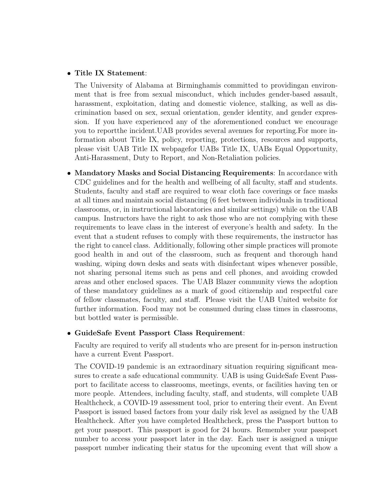### • Title IX Statement:

The University of Alabama at Birminghamis committed to providingan environment that is free from sexual misconduct, which includes gender-based assault, harassment, exploitation, dating and domestic violence, stalking, as well as discrimination based on sex, sexual orientation, gender identity, and gender expression. If you have experienced any of the aforementioned conduct we encourage you to reportthe incident.UAB provides several avenues for reporting.For more information about Title IX, policy, reporting, protections, resources and supports, please visit UAB Title IX webpagefor UABs Title IX, UABs Equal Opportunity, Anti-Harassment, Duty to Report, and Non-Retaliation policies.

• Mandatory Masks and Social Distancing Requirements: In accordance with CDC guidelines and for the health and wellbeing of all faculty, staff and students. Students, faculty and staff are required to wear cloth face coverings or face masks at all times and maintain social distancing (6 feet between individuals in traditional classrooms, or, in instructional laboratories and similar settings) while on the UAB campus. Instructors have the right to ask those who are not complying with these requirements to leave class in the interest of everyone's health and safety. In the event that a student refuses to comply with these requirements, the instructor has the right to cancel class. Additionally, following other simple practices will promote good health in and out of the classroom, such as frequent and thorough hand washing, wiping down desks and seats with disinfectant wipes whenever possible, not sharing personal items such as pens and cell phones, and avoiding crowded areas and other enclosed spaces. The UAB Blazer community views the adoption of these mandatory guidelines as a mark of good citizenship and respectful care of fellow classmates, faculty, and staff. Please visit the UAB United website for further information. Food may not be consumed during class times in classrooms, but bottled water is permissible.

## • GuideSafe Event Passport Class Requirement:

Faculty are required to verify all students who are present for in-person instruction have a current Event Passport.

The COVID-19 pandemic is an extraordinary situation requiring significant measures to create a safe educational community. UAB is using GuideSafe Event Passport to facilitate access to classrooms, meetings, events, or facilities having ten or more people. Attendees, including faculty, staff, and students, will complete UAB Healthcheck, a COVID-19 assessment tool, prior to entering their event. An Event Passport is issued based factors from your daily risk level as assigned by the UAB Healthcheck. After you have completed Healthcheck, press the Passport button to get your passport. This passport is good for 24 hours. Remember your passport number to access your passport later in the day. Each user is assigned a unique passport number indicating their status for the upcoming event that will show a